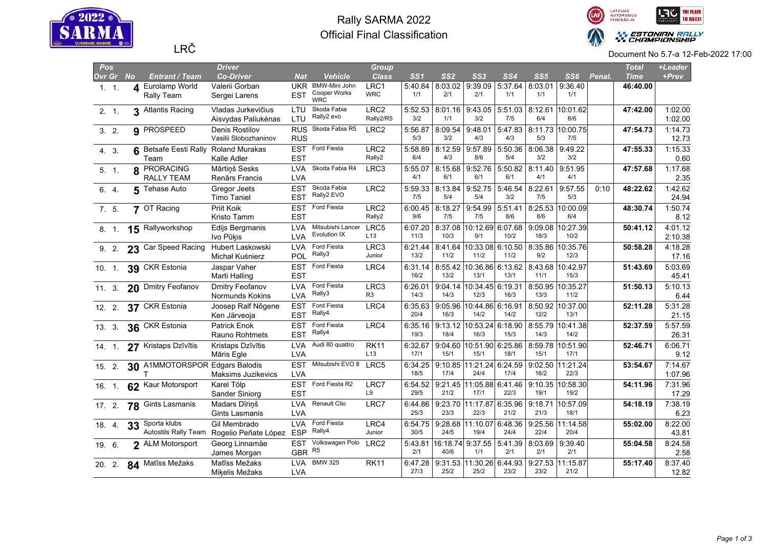

## Rally SARMA 2022 Official Final Classification



| Pos    |               |   |                                    | <b>Driver</b>                  |                          |                                   | <b>Group</b>           |                 |                 |                          |                 |                 |                          |        | <b>Total</b> | +Leader          |
|--------|---------------|---|------------------------------------|--------------------------------|--------------------------|-----------------------------------|------------------------|-----------------|-----------------|--------------------------|-----------------|-----------------|--------------------------|--------|--------------|------------------|
|        | Ovr Gr No     |   | Entrant / Team                     | <b>Co-Driver</b>               | <b>Nat</b>               | <b>Vehicle</b>                    | <b>Class</b>           | SS <sub>1</sub> | SS <sub>2</sub> | SS3                      | SS <sub>4</sub> | SS5             | SS6                      | Penal. | <b>Time</b>  | +Prev            |
|        | 1.1.          | 4 | <b>Eurolamp World</b>              | Valerii Gorban                 | <b>UKR</b>               | BMW-Mini John                     | LRC1                   | 5:40.84         | 8:03.02         | 9:39.09                  | 5:37.64         | 8:03.01         | 9:36.40                  |        | 46:40.00     |                  |
|        |               |   | Rally Team                         | Sergei Larens                  | <b>EST</b>               | Cooper Works<br><b>WRC</b>        | <b>WRC</b>             | 1/1             | 2/1             | 2/1                      | 1/1             | 1/1             | 1/1                      |        |              |                  |
|        | 2.1           |   | 3 Atlantis Racing                  | Vladas Jurkevičius             | LTU                      | Skoda Fabia                       | LRC <sub>2</sub>       | 5:52.53         | 8:01.16         | 9:43.05                  | 5:51.03         | 8:12.61         | 10:01.62                 |        | 47:42.00     | 1:02.00          |
|        |               |   |                                    | Aisvydas Paliukėnas            | LTU                      | Rally2 evo                        | Rally2/R5              | 3/2             | 1/1             | 3/2                      | 7/5             | 6/4             | 8/6                      |        |              | 1:02.00          |
|        | 3.2.          |   | 9 PROSPEED                         | Denis Rostilov                 |                          | RUS Skoda Fabia R5                | LRC <sub>2</sub>       | 5:56.87         | 8:09.54         | 9:48.01                  | 5:47.83         |                 | 8:11.73 10:00.75         |        | 47:54.73     | 1:14.73          |
|        |               |   |                                    | Vasilii Slobozhaninov          | <b>RUS</b>               |                                   |                        | 5/3             | 3/2             | 4/3                      | 4/3             | 5/3             | 7/5                      |        |              | 12.73            |
|        | 4. 3.         | 6 | Betsafe Eesti Rally Roland Murakas |                                | <b>EST</b>               | Ford Fiesta                       | LRC <sub>2</sub>       | 5:58.89         | 8:12.59         | 9:57.89                  | 5:50.36         | 8:06.38         | 9:49.22                  |        | 47:55.33     | 1:15.33          |
|        |               |   | Team                               | Kalle Adler                    | <b>EST</b>               |                                   | Rally2                 | 6/4             | 4/3             | 8/6                      | 5/4             | 3/2             | 3/2                      |        |              | 0.60             |
|        | 5. 1.         | 8 | PRORACING                          | Mārtiņš Sesks                  | <b>LVA</b>               | Skoda Fabia R4                    | LRC3                   | 5:55.07         | 8:15.68         | 9:52.76                  | 5:50.82         | 8:11.40         | 9:51.95                  |        | 47:57.68     | 1:17.68          |
|        |               |   | RALLY TEAM                         | Renārs Francis                 | <b>LVA</b>               |                                   |                        | 4/1             | 6/1             | 6/1                      | 6/1             | 4/1             | 4/1                      |        |              | 2.35             |
|        | 6. 4.         | 5 | Tehase Auto                        | Gregor Jeets                   | <b>EST</b>               | Skoda Fabia                       | LRC <sub>2</sub>       | 5:59.33         | 8:13.84         | 9:52.75                  | 5:46.54         | 8:22.61         | 9:57.55                  | 0:10   | 48:22.62     | 1:42.62          |
|        |               |   |                                    | <b>Timo Taniel</b>             | <b>EST</b>               | Rally2 EVO                        |                        | 7/5             | 5/4             | 5/4                      | 3/2             | 7/5             | 5/3                      |        |              | 24.94            |
|        | 7. 5.         |   | 7 OT Racing                        | Priit Koik                     | <b>EST</b>               | Ford Fiesta                       | LRC <sub>2</sub>       | 6:00.45         | 8:18.27         | 9:54.99                  | 5:51.41         |                 | 8:25.53 10:00.09         |        | 48:30.74     | 1:50.74          |
|        |               |   |                                    | Kristo Tamm                    | <b>EST</b>               |                                   | Rally2                 | 9/6             | 7/5             | 7/5                      | 8/6             | 8/6             | 6/4                      |        |              | 8.12             |
|        | 8. 1.         |   | 15 Rallyworkshop                   | Edijs Bergmanis                | <b>LVA</b>               | Mitsubishi Lancer<br>Evolution IX | LRC5                   | 6:07.20         | 8:37.08         | 10:12.69 6:07.68         |                 |                 | 9:09.08 10:27.39         |        | 50:41.12     | 4:01.12          |
|        |               |   |                                    | Ivo Pūķis                      | <b>LVA</b>               |                                   | L <sub>13</sub>        | 11/3            | 10/3            | 9/1                      | 10/2            | 18/3            | 10/2                     |        |              | 2:10.38          |
|        | 9.2.          |   | 23 Car Speed Racing                | Hubert Laskowski               | <b>LVA</b>               | Ford Fiesta<br>Rally3             | LRC3                   | 6:21.44         | 8:41.64         | 10:33.08 6:10.50         |                 |                 | 8:35.86 10:35.76         |        | 50:58.28     | 4:18.28          |
|        |               |   |                                    | Michał Kuśnierz                | POL                      |                                   | Junior                 | 13/2            | 11/2            | 11/2                     | 11/2            | 9/2             | 12/3                     |        |              | 17.16            |
|        | 10.1          |   | 39 CKR Estonia                     | Jaspar Vaher                   | <b>EST</b>               | Ford Fiesta                       | LRC4                   | 6:31.14<br>16/2 | 8:55.42<br>13/2 | 10:36.86 6:13.62<br>13/1 |                 | 11/1            | 8:43.68 10:42.97<br>15/3 |        | 51:43.69     | 5:03.69          |
|        |               |   |                                    | Marti Halling                  | EST                      |                                   |                        |                 |                 |                          | 13/1            |                 |                          |        |              | 45.41            |
|        | $11 \quad 3.$ |   | 20 Dmitry Feofanov                 | Dmitry Feofanov                | <b>LVA</b>               | Ford Fiesta<br>Rally3             | LRC3<br>R <sub>3</sub> | 6:26.01<br>14/3 | 9:04.14<br>14/3 | 10:34.45 6:19.31<br>12/3 | 16/3            | 13/3            | 8:50.95 10:35.27<br>11/2 |        | 51:50.13     | 5:10.13          |
|        |               |   |                                    | Normunds Kokins                | <b>LVA</b>               | Ford Fiesta                       |                        |                 |                 |                          |                 |                 |                          |        |              | 6.44             |
|        | 12.2.         |   | 37 CKR Estonia                     | Joosep Ralf Nõgene             | <b>EST</b><br><b>EST</b> | Rally4                            | LRC4                   | 6:35.63<br>20/4 | 9:05.96<br>16/3 | 10:44.86 6:16.91<br>14/2 | 14/2            | 12/2            | 8:50.92 10:37.00<br>13/1 |        | 52:11.28     | 5:31.28          |
|        |               |   |                                    | Ken Järveoja                   |                          |                                   |                        |                 |                 |                          |                 |                 |                          |        |              | 21.15            |
|        | 13.3.         |   | 36 CKR Estonia                     | Patrick Enok<br>Rauno Rohtmets | <b>EST</b><br><b>EST</b> | Ford Fiesta<br>Rally4             | LRC4                   | 6:35.16<br>19/3 | 9:13.12<br>18/4 | 10:53.24 6:18.90<br>16/3 | 15/3            | 8:55.79<br>14/3 | 10:41.38<br>14/2         |        | 52:37.59     | 5:57.59<br>26.31 |
|        |               |   |                                    | Kristaps Dzīvītis              | <b>LVA</b>               | Audi 80 quattro                   | <b>RK11</b>            | 6:32.67         | 9:04.60         | 10:51.90 6:25.86         |                 |                 | 8:59.78 10:51.90         |        | 52:46.71     | 6:06.71          |
|        | 14. 1.        |   | 27 Kristaps Dzīvītis               | Māris Egle                     | <b>LVA</b>               |                                   | L13                    | 17/1            | 15/1            | 15/1                     | 18/1            | 15/1            | 17/1                     |        |              | 9.12             |
|        |               |   |                                    |                                | <b>EST</b>               | Mitsubishi EVO 8                  | LRC5                   | 6:34.25         | 9:10.85         | 11:21.24 6:24.59         |                 | 9:02.50         | 11:21.24                 |        | 53:54.67     | 7:14.67          |
|        | 15.2.         |   | 30 A1MMOTORSPOR Edgars Balodis     | Maksims Juzikevics             | <b>LVA</b>               |                                   |                        | 18/5            | 17/4            | 24/4                     | 17/4            | 16/2            | 22/3                     |        |              | 1:07.96          |
|        |               |   | 62 Kaur Motorsport                 | Karel Tölp                     | <b>EST</b>               | Ford Fiesta R2                    | LRC7                   | 6:54.52         | 9:21.45         | 11:05.88 6:41.46         |                 | 9:10.35         | 10:58.30                 |        | 54:11.96     | 7:31.96          |
|        | 16.1          |   |                                    | Sander Siniorg                 | <b>EST</b>               |                                   | L9                     | 29/5            | 21/2            | 17/1                     | 22/3            | 19/1            | 19/2                     |        |              | 17.29            |
| 17.2.  |               |   | 78 Gints Lasmanis                  | Madars Dīriņš                  | <b>LVA</b>               | <b>Renault Clio</b>               | LRC7                   | 6:44.86         | 9:23.70         | 11:17.87 6:35.96         |                 | 9:18.71         | 10:57.09                 |        | 54:18.19     | 7:38.19          |
|        |               |   |                                    | Gints Lasmanis                 | <b>LVA</b>               |                                   |                        | 25/3            | 23/3            | 22/3                     | 21/2            | 21/3            | 18/1                     |        |              | 6.23             |
|        | 18.4.         |   | 33 Sporta klubs                    | Gil Membrado                   | <b>LVA</b>               | Ford Fiesta                       | LRC4                   | 6:54.75         | 9:28.68         | 11:10.07 6:48.36         |                 |                 | 9:25.56 11:14.58         |        | 55:02.00     | 8:22.00          |
|        |               |   | <b>Autostils Rally Team</b>        | Rogelio Peñate López           | ESP                      | Rally4                            | Junior                 | 30/5            | 24/5            | 19/4                     | 24/4            | 22/4            | 20/4                     |        |              | 43.81            |
| 19. 6. |               |   | 2 ALM Motorsport                   | Georg Linnamäe                 | <b>EST</b>               | Volkswagen Polo                   | LRC <sub>2</sub>       | 5:43.81         | 16:18.74        | 9:37.55                  | 5:41.39         | 8:03.69         | 9:39.40                  |        | 55:04.58     | 8:24.58          |
|        |               |   |                                    | James Morgan                   | <b>GBR</b>               | R <sub>5</sub>                    |                        | 2/1             | 40/6            | 1/1                      | 2/1             | 2/1             | 2/1                      |        |              | 2.58             |
|        | $20 \quad 2.$ |   | 84 Matīss Mežaks                   | Matīss Mežaks                  | <b>LVA</b>               | <b>BMW 325</b>                    | <b>RK11</b>            | 6:47.28         | 9:31.53         | 11:30.26 6:44.93         |                 |                 | 9:27.53 11:15.87         |        | 55:17.40     | 8:37.40          |
|        |               |   |                                    | Miķelis Mežaks                 | <b>LVA</b>               |                                   |                        | 27/3            | 25/2            | 25/2                     | 23/2            | 23/2            | 21/2                     |        |              | 12.82            |
|        |               |   |                                    |                                |                          |                                   |                        |                 |                 |                          |                 |                 |                          |        |              |                  |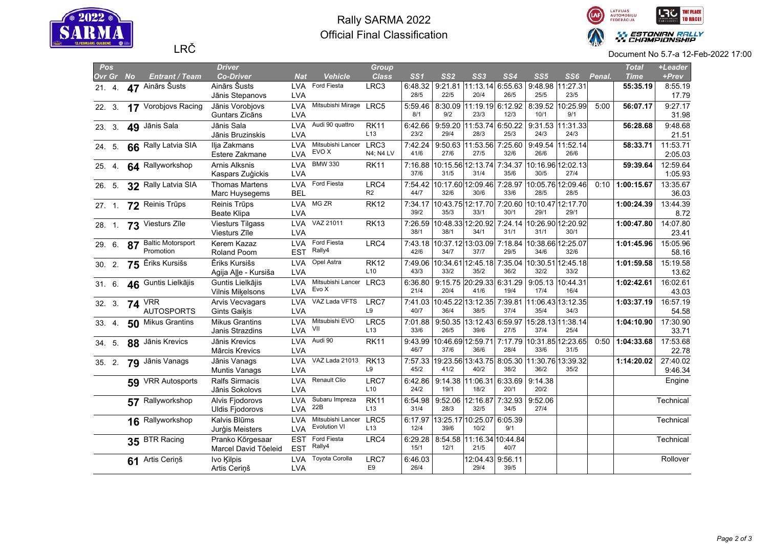

## Rally SARMA 2022 Official Final Classification



| Pos       |    |                          | <b>Driver</b>           |            |                        | Group           |                 |                 |                                   |         |                 |                   |        | <b>Total</b> | +Leader   |
|-----------|----|--------------------------|-------------------------|------------|------------------------|-----------------|-----------------|-----------------|-----------------------------------|---------|-----------------|-------------------|--------|--------------|-----------|
| Ovr Gr No |    | <b>Entrant / Team</b>    | <b>Co-Driver</b>        | <b>Nat</b> | <b>Vehicle</b>         | <b>Class</b>    | SS <sub>1</sub> | SS <sub>2</sub> | SS3                               | SS4     | SS <sub>5</sub> | SS6               | Penal. | <b>Time</b>  | +Prev     |
| 21.4.     |    | 47 Ainārs Šusts          | Ainārs Šusts            |            | LVA Ford Fiesta        | LRC3            | 6:48.32         |                 | 9:21.81 11:13.14 6:55.63          |         |                 | 9:48.98 11:27.31  |        | 55:35.19     | 8:55.19   |
|           |    |                          | Jānis Stepanovs         | <b>LVA</b> |                        |                 | 28/5            | 22/5            | 20/4                              | 26/5    | 25/5            | 23/5              |        |              | 17.79     |
| 22. 3.    |    | 17 Vorobjovs Racing      | Jānis Vorobjovs         | <b>LVA</b> | Mitsubishi Mirage LRC5 |                 | 5:59.46         |                 | 8:30.09 11:19.19 6:12.92          |         |                 | 8:39.52 10:25.99  | 5:00   | 56:07.17     | 9:27.17   |
|           |    |                          | Guntars Zicāns          | <b>LVA</b> |                        |                 | 8/1             | 9/2             | 23/3                              | 12/3    | 10/1            | 9/1               |        |              | 31.98     |
| 23. 3.    |    | 49 Jānis Sala            | Jānis Sala              | <b>LVA</b> | Audi 90 quattro        | <b>RK11</b>     | 6:42.66         | 9:59.20         | $ 11:53.74 $ 6:50.22              |         |                 | 9:31.53 11:31.33  |        | 56:28.68     | 9:48.68   |
|           |    |                          | Jānis Bruzinskis        | <b>LVA</b> |                        | L <sub>13</sub> | 23/2            | 29/4            | 28/3                              | 25/3    | 24/3            | 24/3              |        |              | 21.51     |
| 24. 5.    |    | 66 Rally Latvia SIA      | Ilja Zakmans            | <b>LVA</b> | Mitsubishi Lancer      | LRC3            | 7:42.24         | 9:50.63         | 11:53.56                          | 7:25.60 |                 | 9:49.54 11:52.14  |        | 58:33.71     | 11:53.71  |
|           |    |                          | Estere Zakmane          | LVA        | EVO X                  | N4; N4 LV       | 41/6            | 27/6            | 27/5                              | 32/6    | 26/6            | 26/6              |        |              | 2:05.03   |
| 25. 4.    |    | 64 Rallyworkshop         | <b>Arnis Alksnis</b>    | <b>LVA</b> | <b>BMW 330</b>         | <b>RK11</b>     | 7:16.88         |                 | 10:15.56 12:13.74 7:34.37         |         |                 | 10:16.96 12:02.13 |        | 59:39.64     | 12:59.64  |
|           |    |                          | Kaspars Zuģickis        | <b>LVA</b> |                        |                 | 37/6            | 31/5            | 31/4                              | 35/6    | 30/5            | 27/4              |        |              | 1:05.93   |
| 26. 5.    |    | 32 Rally Latvia SIA      | <b>Thomas Martens</b>   | <b>LVA</b> | Ford Fiesta            | LRC4            |                 |                 | 7:54.42 10:17.60 12:09.46 7:28.97 |         |                 | 10:05.76 12:09.46 | 0:10   | 1:00:15.67   | 13:35.67  |
|           |    |                          | Marc Huysegems          | <b>BEL</b> |                        | R <sub>2</sub>  | 44/7            | 32/6            | 30/6                              | 33/6    | 28/5            | 28/5              |        |              | 36.03     |
| 27.1      |    | 72 Reinis Trūps          | Reinis Trūps            | <b>LVA</b> | MG ZR                  | <b>RK12</b>     | 7:34.17         |                 | 10:43.75 12:17.70 7:20.60         |         |                 | 10:10.47 12:17.70 |        | 1:00:24.39   | 13:44.39  |
|           |    |                          | <b>Beate Klipa</b>      | <b>LVA</b> |                        |                 | 39/2            | 35/3            | 33/1                              | 30/1    | 29/1            | 29/1              |        |              | 8.72      |
| 28. 1.    |    | 73 Viesturs Zīle         | <b>Viesturs Tilgass</b> | <b>LVA</b> | VAZ 21011              | <b>RK13</b>     |                 |                 | 7:26.59 10:48.33 12:20.92 7:24.14 |         |                 | 10:26.90 12:20.92 |        | 1:00:47.80   | 14:07.80  |
|           |    |                          | Viesturs Zīle           | <b>LVA</b> |                        |                 | 38/1            | 38/1            | 34/1                              | 31/1    | 31/1            | 30/1              |        |              | 23.41     |
| 29. 6.    | 87 | <b>Baltic Motorsport</b> | Kerem Kazaz             | <b>LVA</b> | Ford Fiesta            | LRC4            | 7:43.18         |                 | 10:37.12 13:03.09                 | 7:18.84 |                 | 10:38.66 12:25.07 |        | 1:01:45.96   | 15:05.96  |
|           |    | Promotion                | Roland Poom             | <b>EST</b> | Rally4                 |                 | 42/6            | 34/7            | 37/7                              | 29/5    | 34/6            | 32/6              |        |              | 58.16     |
| 30.2.     |    | 75 Ēriks Kursišs         | Ēriks Kursišs           | <b>LVA</b> | Opel Astra             | <b>RK12</b>     |                 |                 | 7:49.06 10:34.61 12:45.18 7:35.04 |         |                 | 10:30.51 12:45.18 |        | 1:01:59.58   | 15:19.58  |
|           |    |                          | Agija Alle - Kursiša    | LVA        |                        | L10             | 43/3            | 33/2            | 35/2                              | 36/2    | 32/2            | 33/2              |        |              | 13.62     |
| 31.6.     |    | 46 Guntis Lielkājis      | Guntis Lielkājis        | <b>LVA</b> | Mitsubishi Lancer LRC3 |                 | 6:36.80         |                 | 9:15.75 20:29.33 6:31.29          |         |                 | 9:05.13 10:44.31  |        | 1:02:42.61   | 16:02.61  |
|           |    |                          | Vilnis Mikelsons        | LVA        | Evo X                  |                 | 21/4            | 20/4            | 41/6                              | 19/4    | 17/4            | 16/4              |        |              | 43.03     |
| 32. 3.    |    | <b>74 VRR</b>            | <b>Arvis Vecvagars</b>  | LVA        | VAZ Lada VFTS          | LRC7            |                 |                 | 7:41.03 10:45.22 13:12.35 7:39.81 |         |                 | 11:06.43 13:12.35 |        | 1:03:37.19   | 16:57.19  |
|           |    | <b>AUTOSPORTS</b>        | <b>Gints Gaikis</b>     | <b>LVA</b> |                        | L9              | 40/7            | 36/4            | 38/5                              | 37/4    | 35/4            | 34/3              |        |              | 54.58     |
| 33.4.     |    | 50 Mikus Grantins        | <b>Mikus Grantins</b>   | LVA        | Mitsubishi EVO         | LRC5            | 7:01.88         | 9:50.35         | 13:12.43 6:59.97                  |         |                 | 15:28.13 11:38.14 |        | 1:04:10.90   | 17:30.90  |
|           |    |                          | Janis Strazdins         | <b>LVA</b> | VII                    | L13             | 33/6            | 26/5            | 39/6                              | 27/5    | 37/4            | 25/4              |        |              | 33.71     |
| 34. 5.    |    | 88 Jānis Krevics         | Jānis Krevics           | <b>LVA</b> | Audi 90                | <b>RK11</b>     | 9:43.99         |                 | 10:46.69 12:59.71                 | 7:17.79 |                 | 10:31.85 12:23.65 | 0:50   | 1:04:33.68   | 17:53.68  |
|           |    |                          | Mārcis Krevics          | <b>LVA</b> |                        |                 | 46/7            | 37/6            | 36/6                              | 28/4    | 33/6            | 31/5              |        |              | 22.78     |
| 35. 2.    |    | 79 Jānis Vanags          | Jānis Vanags            | <b>LVA</b> | VAZ Lada 21013         | <b>RK13</b>     |                 |                 | 7:57.33 19:23.56 13:43.75 8:05.30 |         |                 | 11:30.76 13:39.32 |        | 1:14:20.02   | 27:40.02  |
|           |    |                          | <b>Muntis Vanags</b>    | <b>LVA</b> |                        | L9              | 45/2            | 41/2            | 40/2                              | 38/2    | 36/2            | 35/2              |        |              | 9:46.34   |
|           |    | 59 VRR Autosports        | <b>Ralfs Sirmacis</b>   | <b>LVA</b> | Renault Clio           | LRC7            | 6:42.86         |                 | $9:14.38$   11:06.31 6:33.69      |         | 9:14.38         |                   |        |              | Engine    |
|           |    |                          | Jānis Sokolovs          | <b>LVA</b> |                        | L10             | 24/2            | 19/1            | 18/2                              | 20/1    | 20/2            |                   |        |              |           |
|           |    | 57 Rallyworkshop         | Alvis Fjodorovs         | <b>LVA</b> | Subaru Impreza         | <b>RK11</b>     | 6:54.98         |                 | 9:52.06 12:16.87 7:32.93          |         | 9:52.06         |                   |        |              | Technical |
|           |    |                          | <b>Uldis Fjodorovs</b>  | <b>LVA</b> | 22B                    | L <sub>13</sub> | 31/4            | 28/3            | 32/5                              | 34/5    | 27/4            |                   |        |              |           |
|           |    | 16 Rallyworkshop         | Kalvis Blūms            | <b>LVA</b> | Mitsubishi Lancer      | LRC5            | 6:17.97         |                 | 13:25.17 10:25.07 6:05.39         |         |                 |                   |        |              | Technical |
|           |    |                          | Jurģis Meisters         | LVA        | <b>Evolution VI</b>    | L13             | 12/4            | 39/6            | 10/2                              | 9/1     |                 |                   |        |              |           |
|           |    | 35 BTR Racing            | Pranko Kõrgesaar        | <b>EST</b> | Ford Fiesta            | LRC4            | 6:29.28         |                 | 8:54.58 11:16.34 10:44.84         |         |                 |                   |        |              | Technical |
|           |    |                          | Marcel David Tõeleid    | <b>EST</b> | Rally4                 |                 | 15/1            | 12/1            | 21/5                              | 40/7    |                 |                   |        |              |           |
|           |    | 61 Artis Ceriņš          | Ivo Kilpis              | <b>LVA</b> | Toyota Corolla         | LRC7            | 6:46.03         |                 | 12:04.43 9:56.11                  |         |                 |                   |        |              | Rollover  |
|           |    |                          | Artis Cerinš            | <b>LVA</b> |                        | E9              | 26/4            |                 | 29/4                              | 39/5    |                 |                   |        |              |           |
|           |    |                          |                         |            |                        |                 |                 |                 |                                   |         |                 |                   |        |              |           |